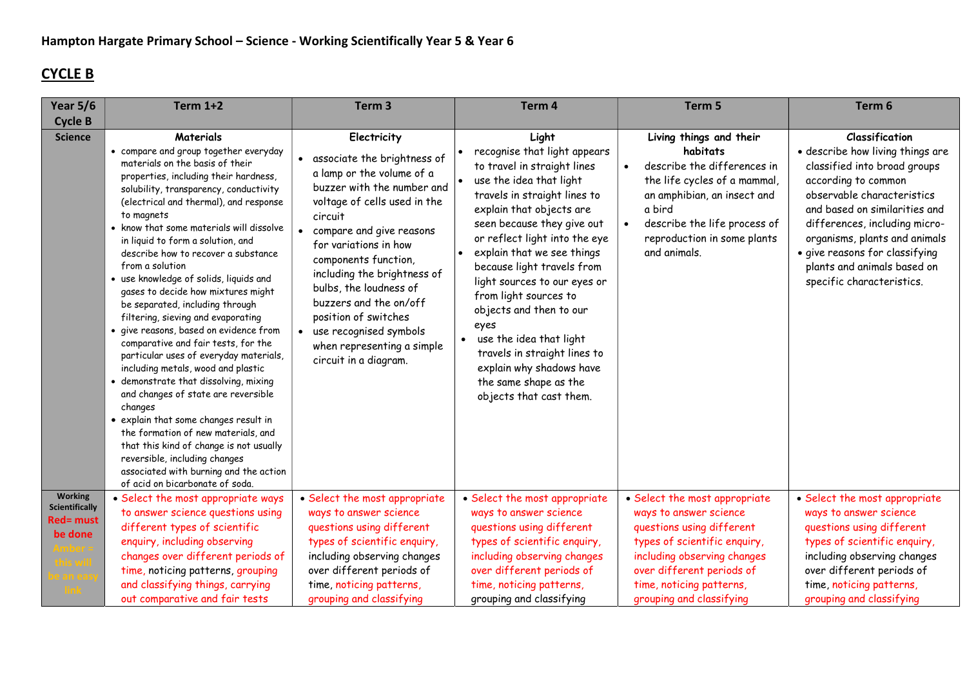## CYCLE B

| <b>Year 5/6</b>                                                        | <b>Term 1+2</b>                                                                                                                                                                                                                                                                                                                                                                                                                                                                                                                                                                                                                                                                                                                                                                                                                                                                                                                                                                                                                           | Term <sub>3</sub>                                                                                                                                                                                                                                                                                                                                                                                                                      | Term 4                                                                                                                                                                                                                                                                                                                                                                                                                                                                                                                                     | Term 5                                                                                                                                                                                                                                   | Term 6                                                                                                                                                                                                                                                                                                                                          |
|------------------------------------------------------------------------|-------------------------------------------------------------------------------------------------------------------------------------------------------------------------------------------------------------------------------------------------------------------------------------------------------------------------------------------------------------------------------------------------------------------------------------------------------------------------------------------------------------------------------------------------------------------------------------------------------------------------------------------------------------------------------------------------------------------------------------------------------------------------------------------------------------------------------------------------------------------------------------------------------------------------------------------------------------------------------------------------------------------------------------------|----------------------------------------------------------------------------------------------------------------------------------------------------------------------------------------------------------------------------------------------------------------------------------------------------------------------------------------------------------------------------------------------------------------------------------------|--------------------------------------------------------------------------------------------------------------------------------------------------------------------------------------------------------------------------------------------------------------------------------------------------------------------------------------------------------------------------------------------------------------------------------------------------------------------------------------------------------------------------------------------|------------------------------------------------------------------------------------------------------------------------------------------------------------------------------------------------------------------------------------------|-------------------------------------------------------------------------------------------------------------------------------------------------------------------------------------------------------------------------------------------------------------------------------------------------------------------------------------------------|
| <b>Cycle B</b>                                                         |                                                                                                                                                                                                                                                                                                                                                                                                                                                                                                                                                                                                                                                                                                                                                                                                                                                                                                                                                                                                                                           |                                                                                                                                                                                                                                                                                                                                                                                                                                        |                                                                                                                                                                                                                                                                                                                                                                                                                                                                                                                                            |                                                                                                                                                                                                                                          |                                                                                                                                                                                                                                                                                                                                                 |
| <b>Science</b>                                                         | Materials<br>• compare and group together everyday<br>materials on the basis of their<br>properties, including their hardness,<br>solubility, transparency, conductivity<br>(electrical and thermal), and response<br>to magnets<br>• know that some materials will dissolve<br>in liquid to form a solution, and<br>describe how to recover a substance<br>from a solution<br>• use knowledge of solids, liquids and<br>gases to decide how mixtures might<br>be separated, including through<br>filtering, sieving and evaporating<br>· give reasons, based on evidence from<br>comparative and fair tests, for the<br>particular uses of everyday materials,<br>including metals, wood and plastic<br>· demonstrate that dissolving, mixing<br>and changes of state are reversible<br>changes<br>• explain that some changes result in<br>the formation of new materials, and<br>that this kind of change is not usually<br>reversible, including changes<br>associated with burning and the action<br>of acid on bicarbonate of soda. | Electricity<br>associate the brightness of<br>a lamp or the volume of a<br>buzzer with the number and<br>voltage of cells used in the<br>circuit<br>compare and give reasons<br>for variations in how<br>components function,<br>including the brightness of<br>bulbs, the loudness of<br>buzzers and the on/off<br>position of switches<br>use recognised symbols<br>$\bullet$<br>when representing a simple<br>circuit in a diagram. | Light<br>recognise that light appears<br>to travel in straight lines<br>use the idea that light<br>travels in straight lines to<br>explain that objects are<br>seen because they give out<br>or reflect light into the eye<br>explain that we see things<br>because light travels from<br>light sources to our eyes or<br>from light sources to<br>objects and then to our<br>eyes<br>use the idea that light<br>$\bullet$<br>travels in straight lines to<br>explain why shadows have<br>the same shape as the<br>objects that cast them. | Living things and their<br>habitats<br>describe the differences in<br>$\bullet$<br>the life cycles of a mammal,<br>an amphibian, an insect and<br>a bird<br>describe the life process of<br>reproduction in some plants<br>and animals.  | <b>Classification</b><br>· describe how living things are<br>classified into broad groups<br>according to common<br>observable characteristics<br>and based on similarities and<br>differences, including micro-<br>organisms, plants and animals<br>· give reasons for classifying<br>plants and animals based on<br>specific characteristics. |
| <b>Working</b><br><b>Scientifically</b><br><b>Red= must</b><br>be done | · Select the most appropriate ways<br>to answer science questions using<br>different types of scientific<br>enquiry, including observing<br>changes over different periods of<br>time, noticing patterns, grouping<br>and classifying things, carrying<br>out comparative and fair tests                                                                                                                                                                                                                                                                                                                                                                                                                                                                                                                                                                                                                                                                                                                                                  | • Select the most appropriate<br>ways to answer science<br>questions using different<br>types of scientific enquiry,<br>including observing changes<br>over different periods of<br>time, noticing patterns,<br>grouping and classifying                                                                                                                                                                                               | • Select the most appropriate<br>ways to answer science<br>questions using different<br>types of scientific enquiry,<br>including observing changes<br>over different periods of<br>time, noticing patterns,<br>grouping and classifying                                                                                                                                                                                                                                                                                                   | • Select the most appropriate<br>ways to answer science<br>questions using different<br>types of scientific enquiry,<br>including observing changes<br>over different periods of<br>time, noticing patterns,<br>grouping and classifying | • Select the most appropriate<br>ways to answer science<br>questions using different<br>types of scientific enquiry,<br>including observing changes<br>over different periods of<br>time, noticing patterns,<br>grouping and classifying                                                                                                        |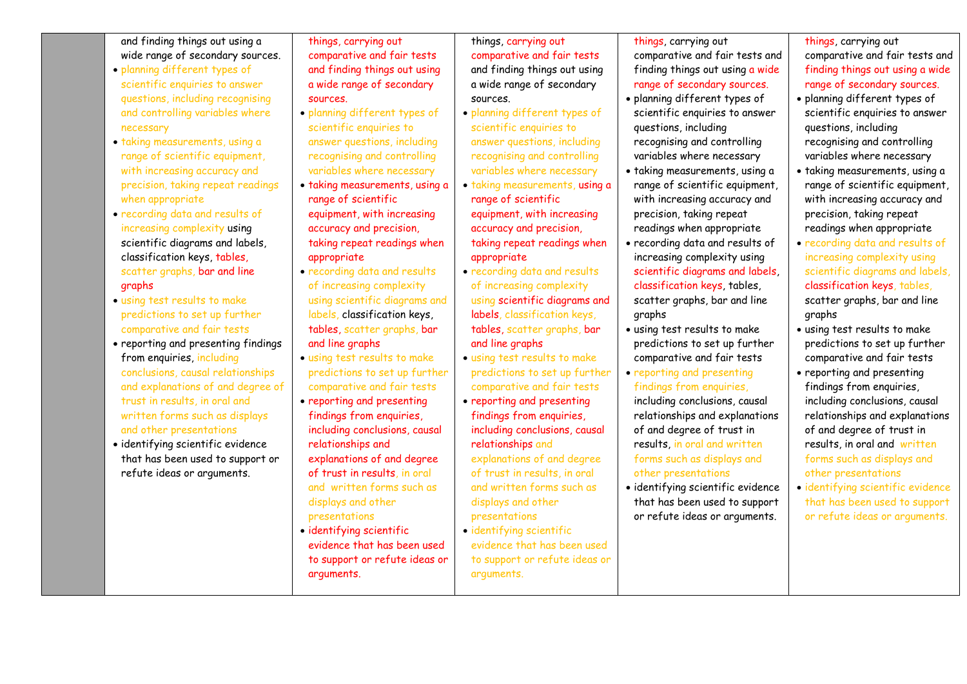| and finding things out using a                                 | things, carrying out                                       | things, carrying out                                       | things, carrying out                                      | things, carrying out                              |
|----------------------------------------------------------------|------------------------------------------------------------|------------------------------------------------------------|-----------------------------------------------------------|---------------------------------------------------|
| wide range of secondary sources.                               | comparative and fair tests                                 | comparative and fair tests                                 | comparative and fair tests and                            | comparative and fair tests and                    |
| · planning different types of                                  | and finding things out using                               | and finding things out using                               | finding things out using a wide                           | finding things out using a wide                   |
| scientific enquiries to answer                                 | a wide range of secondary                                  | a wide range of secondary                                  | range of secondary sources.                               | range of secondary sources.                       |
| questions, including recognising                               | sources.                                                   | sources.                                                   | · planning different types of                             | · planning different types of                     |
| and controlling variables where                                | · planning different types of                              | · planning different types of                              | scientific enquiries to answer                            | scientific enquiries to answer                    |
| necessary                                                      | scientific enquiries to                                    | scientific enquiries to                                    | questions, including                                      | questions, including                              |
| · taking measurements, using a                                 | answer questions, including                                | answer questions, including                                | recognising and controlling                               | recognising and controlling                       |
| range of scientific equipment,                                 | recognising and controlling                                | recognising and controlling                                | variables where necessary                                 | variables where necessary                         |
| with increasing accuracy and                                   | variables where necessary                                  | variables where necessary                                  | · taking measurements, using a                            | · taking measurements, using a                    |
| precision, taking repeat readings                              | · taking measurements, using a                             | · taking measurements, using a                             | range of scientific equipment,                            | range of scientific equipment,                    |
| when appropriate                                               | range of scientific                                        | range of scientific                                        | with increasing accuracy and                              | with increasing accuracy and                      |
| · recording data and results of                                | equipment, with increasing                                 | equipment, with increasing                                 | precision, taking repeat                                  | precision, taking repeat                          |
| increasing complexity using                                    | accuracy and precision,                                    | accuracy and precision,                                    | readings when appropriate                                 | readings when appropriate                         |
| scientific diagrams and labels,                                | taking repeat readings when                                | taking repeat readings when                                | • recording data and results of                           | · recording data and results of                   |
| classification keys, tables,                                   | appropriate                                                | appropriate                                                | increasing complexity using                               | increasing complexity using                       |
| scatter graphs, bar and line                                   | · recording data and results                               | · recording data and results                               | scientific diagrams and labels,                           | scientific diagrams and labels,                   |
| graphs                                                         | of increasing complexity                                   | of increasing complexity                                   | classification keys, tables,                              | classification keys, tables,                      |
| · using test results to make                                   | using scientific diagrams and                              | using scientific diagrams and                              | scatter graphs, bar and line                              | scatter graphs, bar and line                      |
| predictions to set up further                                  | labels, classification keys,                               | labels, classification keys,                               | graphs                                                    | graphs                                            |
| comparative and fair tests                                     | tables, scatter graphs, bar                                | tables, scatter graphs, bar                                | · using test results to make                              | · using test results to make                      |
| • reporting and presenting findings                            | and line graphs                                            | and line graphs                                            | predictions to set up further                             | predictions to set up further                     |
| from enquiries, including                                      | · using test results to make                               | · using test results to make                               | comparative and fair tests                                | comparative and fair tests                        |
| conclusions, causal relationships                              | predictions to set up further                              | predictions to set up further                              | • reporting and presenting                                | • reporting and presenting                        |
| and explanations of and degree of                              | comparative and fair tests                                 | comparative and fair tests                                 | findings from enquiries,                                  | findings from enquiries,                          |
| trust in results, in oral and                                  | • reporting and presenting                                 | • reporting and presenting                                 | including conclusions, causal                             | including conclusions, causal                     |
| written forms such as displays                                 | findings from enquiries,                                   | findings from enquiries,                                   | relationships and explanations                            | relationships and explanations                    |
| and other presentations                                        | including conclusions, causal                              | including conclusions, causal                              | of and degree of trust in<br>results, in oral and written | of and degree of trust in                         |
| · identifying scientific evidence                              | relationships and                                          | relationships and                                          |                                                           | results, in oral and written                      |
| that has been used to support or<br>refute ideas or arguments. | explanations of and degree<br>of trust in results, in oral | explanations of and degree<br>of trust in results, in oral | forms such as displays and<br>other presentations         | forms such as displays and<br>other presentations |
|                                                                | and written forms such as                                  | and written forms such as                                  | · identifying scientific evidence                         | · identifying scientific evidence                 |
|                                                                |                                                            | displays and other                                         | that has been used to support                             | that has been used to support                     |
|                                                                | displays and other<br>presentations                        | presentations                                              | or refute ideas or arguments.                             | or refute ideas or arguments.                     |
|                                                                | · identifying scientific                                   | · identifying scientific                                   |                                                           |                                                   |
|                                                                | evidence that has been used                                | evidence that has been used                                |                                                           |                                                   |
|                                                                | to support or refute ideas or                              | to support or refute ideas or                              |                                                           |                                                   |
|                                                                | arguments.                                                 | arguments.                                                 |                                                           |                                                   |
|                                                                |                                                            |                                                            |                                                           |                                                   |
|                                                                |                                                            |                                                            |                                                           |                                                   |

L